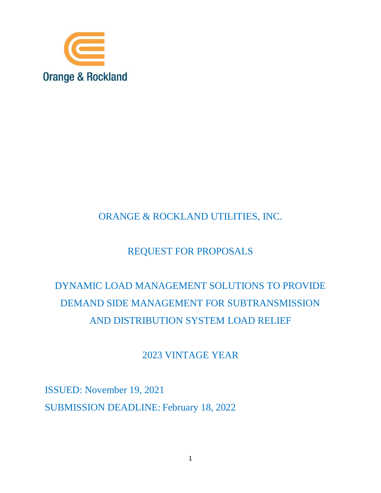

## ORANGE & ROCKLAND UTILITIES, INC.

## REQUEST FOR PROPOSALS

# DYNAMIC LOAD MANAGEMENT SOLUTIONS TO PROVIDE DEMAND SIDE MANAGEMENT FOR SUBTRANSMISSION AND DISTRIBUTION SYSTEM LOAD RELIEF

## 2023 VINTAGE YEAR

ISSUED: November 19, 2021 SUBMISSION DEADLINE: February 18, 2022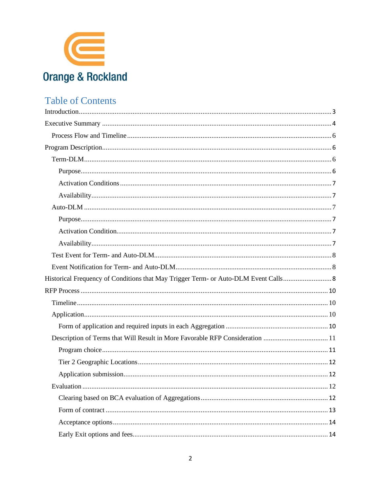

## **Table of Contents**

| Description of Terms that Will Result in More Favorable RFP Consideration 11 |
|------------------------------------------------------------------------------|
|                                                                              |
|                                                                              |
|                                                                              |
| 12                                                                           |
|                                                                              |
|                                                                              |
|                                                                              |
|                                                                              |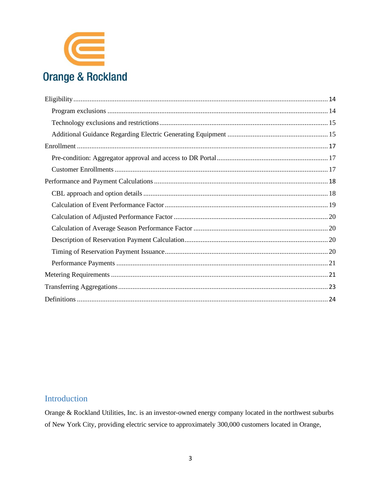

## <span id="page-2-0"></span>Introduction

Orange & Rockland Utilities, Inc. is an investor-owned energy company located in the northwest suburbs of New York City, providing electric service to approximately 300,000 customers located in Orange,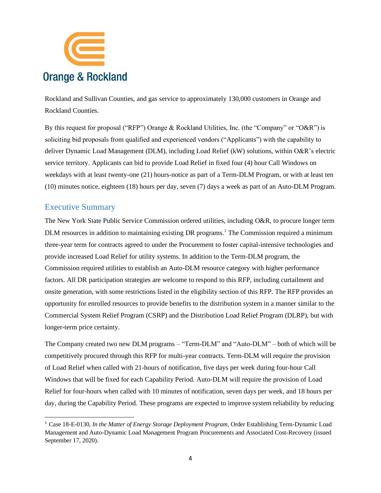

Rockland and Sullivan Counties, and gas service to approximately 130,000 customers in Orange and Rockland Counties.

By this request for proposal ("RFP") Orange & Rockland Utilities, Inc. (the "Company" or "O&R") is soliciting bid proposals from qualified and experienced vendors ("Applicants") with the capability to deliver Dynamic Load Management (DLM), including Load Relief (kW) solutions, within O&R's electric service territory. Applicants can bid to provide Load Relief in fixed four (4) hour Call Windows on weekdays with at least twenty-one (21) hours-notice as part of a Term-DLM Program, or with at least ten (10) minutes notice, eighteen (18) hours per day, seven (7) days a week as part of an Auto-DLM Program.

## <span id="page-3-0"></span>Executive Summary

The New York State Public Service Commission ordered utilities, including O&R, to procure longer term DLM resources in addition to maintaining existing DR programs.<sup>1</sup> The Commission required a minimum three-year term for contracts agreed to under the Procurement to foster capital-intensive technologies and provide increased Load Relief for utility systems. In addition to the Term-DLM program, the Commission required utilities to establish an Auto-DLM resource category with higher performance factors. All DR participation strategies are welcome to respond to this RFP, including curtailment and onsite generation, with some restrictions listed in the eligibility section of this RFP. The RFP provides an opportunity for enrolled resources to provide benefits to the distribution system in a manner similar to the Commercial System Relief Program (CSRP) and the Distribution Load Relief Program (DLRP), but with longer-term price certainty.

The Company created two new DLM programs – "Term-DLM" and "Auto-DLM" – both of which will be competitively procured through this RFP for multi-year contracts. Term-DLM will require the provision of Load Relief when called with 21-hours of notification, five days per week during four-hour Call Windows that will be fixed for each Capability Period. Auto-DLM will require the provision of Load Relief for four-hours when called with 10 minutes of notification, seven days per week, and 18 hours per day, during the Capability Period. These programs are expected to improve system reliability by reducing

<sup>1</sup> Case 18-E-0130, *In the Matter of Energy Storage Deployment Program*, Order Establishing Term-Dynamic Load Management and Auto-Dynamic Load Management Program Procurements and Associated Cost-Recovery (issued September 17, 2020).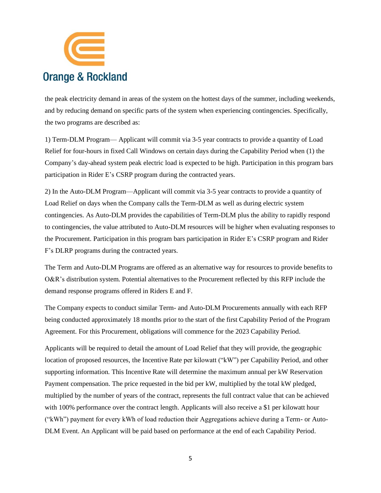

the peak electricity demand in areas of the system on the hottest days of the summer, including weekends, and by reducing demand on specific parts of the system when experiencing contingencies. Specifically, the two programs are described as:

1) Term-DLM Program— Applicant will commit via 3-5 year contracts to provide a quantity of Load Relief for four-hours in fixed Call Windows on certain days during the Capability Period when (1) the Company's day-ahead system peak electric load is expected to be high. Participation in this program bars participation in Rider E's CSRP program during the contracted years.

2) In the Auto-DLM Program—Applicant will commit via 3-5 year contracts to provide a quantity of Load Relief on days when the Company calls the Term-DLM as well as during electric system contingencies. As Auto-DLM provides the capabilities of Term-DLM plus the ability to rapidly respond to contingencies, the value attributed to Auto-DLM resources will be higher when evaluating responses to the Procurement. Participation in this program bars participation in Rider E's CSRP program and Rider F's DLRP programs during the contracted years.

The Term and Auto-DLM Programs are offered as an alternative way for resources to provide benefits to O&R's distribution system. Potential alternatives to the Procurement reflected by this RFP include the demand response programs offered in Riders E and F.

The Company expects to conduct similar Term- and Auto-DLM Procurements annually with each RFP being conducted approximately 18 months prior to the start of the first Capability Period of the Program Agreement. For this Procurement, obligations will commence for the 2023 Capability Period.

Applicants will be required to detail the amount of Load Relief that they will provide, the geographic location of proposed resources, the Incentive Rate per kilowatt ("kW") per Capability Period, and other supporting information. This Incentive Rate will determine the maximum annual per kW Reservation Payment compensation. The price requested in the bid per kW, multiplied by the total kW pledged, multiplied by the number of years of the contract, represents the full contract value that can be achieved with 100% performance over the contract length. Applicants will also receive a \$1 per kilowatt hour ("kWh") payment for every kWh of load reduction their Aggregations achieve during a Term- or Auto-DLM Event. An Applicant will be paid based on performance at the end of each Capability Period.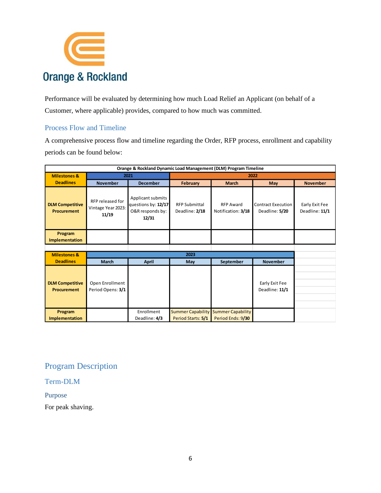

Performance will be evaluated by determining how much Load Relief an Applicant (on behalf of a Customer, where applicable) provides, compared to how much was committed.

## <span id="page-5-0"></span>Process Flow and Timeline

A comprehensive process flow and timeline regarding the Order, RFP process, enrollment and capability periods can be found below:

| Orange & Rockland Dynamic Load Management (DLM) Program Timeline |                                                 |                                                                       |                                                |                                               |                                             |                                  |
|------------------------------------------------------------------|-------------------------------------------------|-----------------------------------------------------------------------|------------------------------------------------|-----------------------------------------------|---------------------------------------------|----------------------------------|
| <b>Milestones &amp;</b>                                          | 2021                                            |                                                                       | 2022                                           |                                               |                                             |                                  |
| <b>Deadlines</b>                                                 | <b>November</b>                                 | <b>December</b>                                                       | February                                       | <b>March</b>                                  | <b>May</b>                                  | <b>November</b>                  |
| <b>DLM Competitive</b><br><b>Procurement</b>                     | RFP released for<br>Vintage Year 2023:<br>11/19 | Applicant submits<br>questions by: 12/17<br>O&R responds by:<br>12/31 | <b>RFP Submittal</b><br>Deadline: 2/18         | <b>RFP Award</b><br>Notification: 3/18        | <b>Contract Execution</b><br>Deadline: 5/20 | Early Exit Fee<br>Deadline: 11/1 |
| Program<br>Implementation                                        |                                                 |                                                                       |                                                |                                               |                                             |                                  |
|                                                                  |                                                 |                                                                       |                                                |                                               |                                             |                                  |
| <b>Milestones &amp;</b>                                          |                                                 | 2023                                                                  |                                                |                                               |                                             |                                  |
| <b>Deadlines</b>                                                 | <b>March</b>                                    | <b>April</b>                                                          | May                                            | September                                     | <b>November</b>                             |                                  |
| <b>DLM Competitive</b><br><b>Procurement</b>                     | Open Enrollment<br>Period Opens: 3/1            |                                                                       |                                                |                                               | Early Exit Fee<br>Deadline: 11/1            |                                  |
| Program<br>Implementation                                        |                                                 | Enrollment<br>Deadline: 4/3                                           | <b>Summer Capability</b><br>Period Starts: 5/1 | <b>Summer Capability</b><br>Period Ends: 9/30 |                                             |                                  |

## <span id="page-5-1"></span>Program Description

## <span id="page-5-2"></span>Term-DLM

## <span id="page-5-3"></span>Purpose

For peak shaving.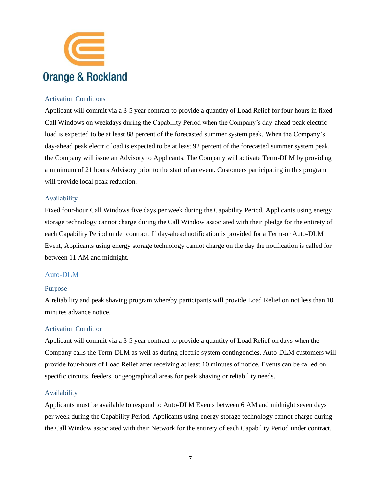

#### <span id="page-6-0"></span>Activation Conditions

Applicant will commit via a 3-5 year contract to provide a quantity of Load Relief for four hours in fixed Call Windows on weekdays during the Capability Period when the Company's day-ahead peak electric load is expected to be at least 88 percent of the forecasted summer system peak. When the Company's day-ahead peak electric load is expected to be at least 92 percent of the forecasted summer system peak, the Company will issue an Advisory to Applicants. The Company will activate Term-DLM by providing a minimum of 21 hours Advisory prior to the start of an event. Customers participating in this program will provide local peak reduction.

#### <span id="page-6-1"></span>Availability

Fixed four-hour Call Windows five days per week during the Capability Period. Applicants using energy storage technology cannot charge during the Call Window associated with their pledge for the entirety of each Capability Period under contract. If day-ahead notification is provided for a Term-or Auto-DLM Event, Applicants using energy storage technology cannot charge on the day the notification is called for between 11 AM and midnight.

#### <span id="page-6-2"></span>Auto-DLM

#### <span id="page-6-3"></span>Purpose

A reliability and peak shaving program whereby participants will provide Load Relief on not less than 10 minutes advance notice.

#### <span id="page-6-4"></span>Activation Condition

Applicant will commit via a 3-5 year contract to provide a quantity of Load Relief on days when the Company calls the Term-DLM as well as during electric system contingencies. Auto-DLM customers will provide four-hours of Load Relief after receiving at least 10 minutes of notice. Events can be called on specific circuits, feeders, or geographical areas for peak shaving or reliability needs.

#### <span id="page-6-5"></span>Availability

Applicants must be available to respond to Auto-DLM Events between 6 AM and midnight seven days per week during the Capability Period. Applicants using energy storage technology cannot charge during the Call Window associated with their Network for the entirety of each Capability Period under contract.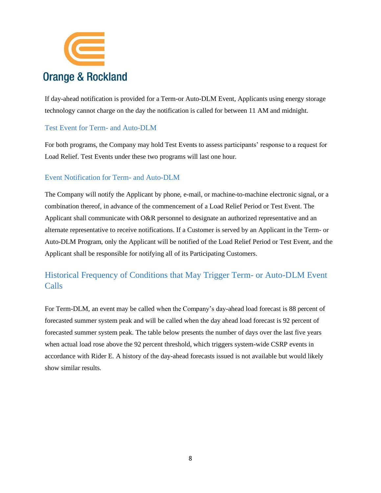

If day-ahead notification is provided for a Term-or Auto-DLM Event, Applicants using energy storage technology cannot charge on the day the notification is called for between 11 AM and midnight.

## <span id="page-7-0"></span>Test Event for Term- and Auto-DLM

For both programs, the Company may hold Test Events to assess participants' response to a request for Load Relief. Test Events under these two programs will last one hour.

#### <span id="page-7-1"></span>Event Notification for Term- and Auto-DLM

The Company will notify the Applicant by phone, e-mail, or machine-to-machine electronic signal, or a combination thereof, in advance of the commencement of a Load Relief Period or Test Event. The Applicant shall communicate with O&R personnel to designate an authorized representative and an alternate representative to receive notifications. If a Customer is served by an Applicant in the Term- or Auto-DLM Program, only the Applicant will be notified of the Load Relief Period or Test Event, and the Applicant shall be responsible for notifying all of its Participating Customers.

## <span id="page-7-2"></span>Historical Frequency of Conditions that May Trigger Term- or Auto-DLM Event Calls

For Term-DLM, an event may be called when the Company's day-ahead load forecast is 88 percent of forecasted summer system peak and will be called when the day ahead load forecast is 92 percent of forecasted summer system peak. The table below presents the number of days over the last five years when actual load rose above the 92 percent threshold, which triggers system-wide CSRP events in accordance with Rider E. A history of the day-ahead forecasts issued is not available but would likely show similar results.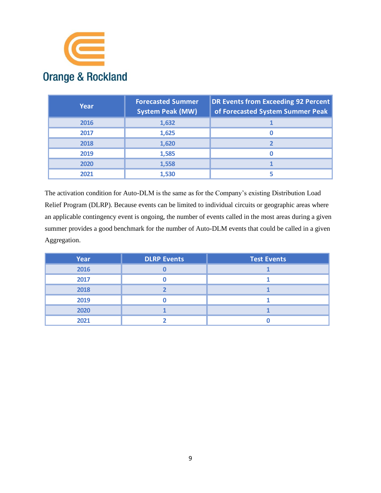

| Year | <b>Forecasted Summer</b><br><b>System Peak (MW)</b> | <b>DR Events from Exceeding 92 Percent</b><br>of Forecasted System Summer Peak |
|------|-----------------------------------------------------|--------------------------------------------------------------------------------|
| 2016 | 1,632                                               |                                                                                |
| 2017 | 1,625                                               |                                                                                |
| 2018 | 1,620                                               |                                                                                |
| 2019 | 1,585                                               |                                                                                |
| 2020 | 1,558                                               |                                                                                |
| 2021 | 1,530                                               |                                                                                |

The activation condition for Auto-DLM is the same as for the Company's existing Distribution Load Relief Program (DLRP). Because events can be limited to individual circuits or geographic areas where an applicable contingency event is ongoing, the number of events called in the most areas during a given summer provides a good benchmark for the number of Auto-DLM events that could be called in a given Aggregation.

| Year | <b>DLRP Events</b> | <b>Test Events</b> |
|------|--------------------|--------------------|
| 2016 |                    |                    |
| 2017 |                    |                    |
| 2018 |                    |                    |
| 2019 |                    |                    |
| 2020 |                    |                    |
| 2021 |                    |                    |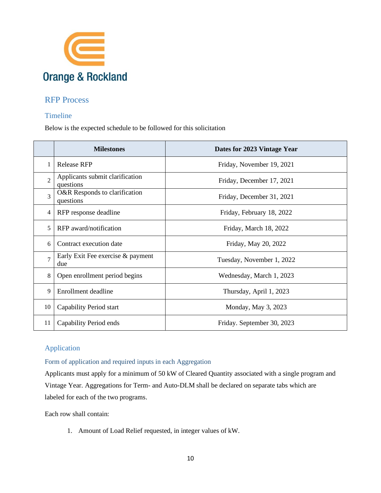

## <span id="page-9-0"></span>RFP Process

## <span id="page-9-1"></span>Timeline

Below is the expected schedule to be followed for this solicitation

|                | <b>Milestones</b>                            | Dates for 2023 Vintage Year |
|----------------|----------------------------------------------|-----------------------------|
| 1              | <b>Release RFP</b>                           | Friday, November 19, 2021   |
| $\overline{2}$ | Applicants submit clarification<br>questions | Friday, December 17, 2021   |
| 3              | O&R Responds to clarification<br>questions   | Friday, December 31, 2021   |
| 4              | RFP response deadline                        | Friday, February 18, 2022   |
| 5              | RFP award/notification                       | Friday, March 18, 2022      |
| 6              | Contract execution date                      | Friday, May 20, 2022        |
| $\overline{7}$ | Early Exit Fee exercise & payment<br>due     | Tuesday, November 1, 2022   |
| 8              | Open enrollment period begins                | Wednesday, March 1, 2023    |
| 9              | Enrollment deadline                          | Thursday, April 1, 2023     |
| 10             | Capability Period start                      | Monday, May 3, 2023         |
| 11             | Capability Period ends                       | Friday. September 30, 2023  |

## <span id="page-9-2"></span>Application

## <span id="page-9-3"></span>Form of application and required inputs in each Aggregation

Applicants must apply for a minimum of 50 kW of Cleared Quantity associated with a single program and Vintage Year. Aggregations for Term- and Auto-DLM shall be declared on separate tabs which are labeled for each of the two programs.

Each row shall contain:

1. Amount of Load Relief requested, in integer values of kW.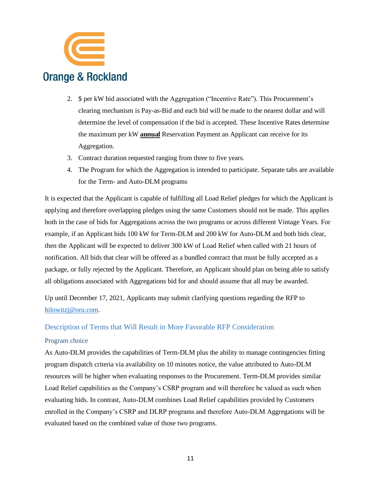

- 2. \$ per kW bid associated with the Aggregation ("Incentive Rate"). This Procurement's clearing mechanism is Pay-as-Bid and each bid will be made to the nearest dollar and will determine the level of compensation if the bid is accepted. These Incentive Rates determine the maximum per kW **annual** Reservation Payment an Applicant can receive for its Aggregation.
- 3. Contract duration requested ranging from three to five years.
- 4. The Program for which the Aggregation is intended to participate. Separate tabs are available for the Term- and Auto-DLM programs

It is expected that the Applicant is capable of fulfilling all Load Relief pledges for which the Applicant is applying and therefore overlapping pledges using the same Customers should not be made. This applies both in the case of bids for Aggregations across the two programs or across different Vintage Years. For example, if an Applicant bids 100 kW for Term-DLM and 200 kW for Auto-DLM and both bids clear, then the Applicant will be expected to deliver 300 kW of Load Relief when called with 21 hours of notification. All bids that clear will be offered as a bundled contract that must be fully accepted as a package, or fully rejected by the Applicant. Therefore, an Applicant should plan on being able to satisfy all obligations associated with Aggregations bid for and should assume that all may be awarded.

Up until December 17, 2021, Applicants may submit clarifying questions regarding the RFP to [hilowitzj@oru.com.](mailto:hilowitzj@oru.com)

#### <span id="page-10-0"></span>Description of Terms that Will Result in More Favorable RFP Consideration

#### <span id="page-10-1"></span>Program choice

As Auto-DLM provides the capabilities of Term-DLM plus the ability to manage contingencies fitting program dispatch criteria via availability on 10 minutes notice, the value attributed to Auto-DLM resources will be higher when evaluating responses to the Procurement. Term-DLM provides similar Load Relief capabilities as the Company's CSRP program and will therefore be valued as such when evaluating bids. In contrast, Auto-DLM combines Load Relief capabilities provided by Customers enrolled in the Company's CSRP and DLRP programs and therefore Auto-DLM Aggregations will be evaluated based on the combined value of those two programs.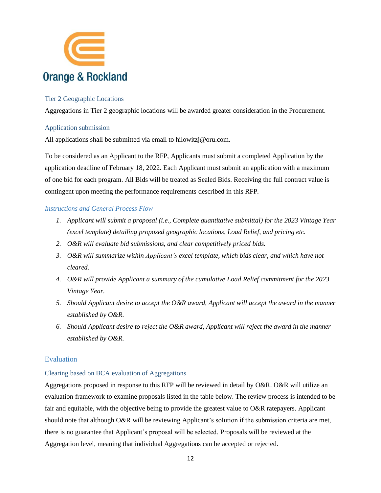

#### <span id="page-11-0"></span>Tier 2 Geographic Locations

Aggregations in Tier 2 geographic locations will be awarded greater consideration in the Procurement.

#### <span id="page-11-1"></span>Application submission

All applications shall be submitted via email to hilowitzj@oru.com.

To be considered as an Applicant to the RFP, Applicants must submit a completed Application by the application deadline of February 18, 2022. Each Applicant must submit an application with a maximum of one bid for each program. All Bids will be treated as Sealed Bids. Receiving the full contract value is contingent upon meeting the performance requirements described in this RFP.

#### *Instructions and General Process Flow*

- *1. Applicant will submit a proposal (i.e., Complete quantitative submittal) for the 2023 Vintage Year (excel template) detailing proposed geographic locations, Load Relief, and pricing etc.*
- *2. O&R will evaluate bid submissions, and clear competitively priced bids.*
- *3. O&R will summarize within Applicant's excel template, which bids clear, and which have not cleared.*
- *4. O&R will provide Applicant a summary of the cumulative Load Relief commitment for the 2023 Vintage Year.*
- *5. Should Applicant desire to accept the O&R award, Applicant will accept the award in the manner established by O&R.*
- *6. Should Applicant desire to reject the O&R award, Applicant will reject the award in the manner established by O&R.*

#### <span id="page-11-2"></span>Evaluation

#### <span id="page-11-3"></span>Clearing based on BCA evaluation of Aggregations

Aggregations proposed in response to this RFP will be reviewed in detail by O&R. O&R will utilize an evaluation framework to examine proposals listed in the table below. The review process is intended to be fair and equitable, with the objective being to provide the greatest value to O&R ratepayers. Applicant should note that although O&R will be reviewing Applicant's solution if the submission criteria are met, there is no guarantee that Applicant's proposal will be selected. Proposals will be reviewed at the Aggregation level, meaning that individual Aggregations can be accepted or rejected.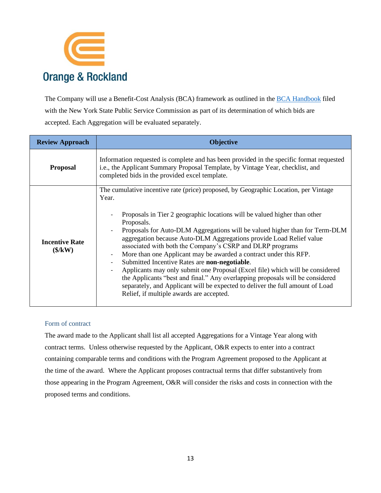

The Company will use a Benefit-Cost Analysis (BCA) framework as outlined in the **[BCA Handbook](https://www.oru.com/-/media/files/oru/documents/saveenergyandmoney/choose-smart-usage-rewards/customerbaselineloadprocedure.pdf?la=en)** filed with the New York State Public Service Commission as part of its determination of which bids are accepted. Each Aggregation will be evaluated separately.

| <b>Review Approach</b>                                                | <b>Objective</b>                                                                                                                                                                                                                                                                                                                                                                                                                                                                                                                                                                                                                                                                                                                                                                                                                                                                        |  |  |  |
|-----------------------------------------------------------------------|-----------------------------------------------------------------------------------------------------------------------------------------------------------------------------------------------------------------------------------------------------------------------------------------------------------------------------------------------------------------------------------------------------------------------------------------------------------------------------------------------------------------------------------------------------------------------------------------------------------------------------------------------------------------------------------------------------------------------------------------------------------------------------------------------------------------------------------------------------------------------------------------|--|--|--|
| <b>Proposal</b>                                                       | Information requested is complete and has been provided in the specific format requested<br>i.e., the Applicant Summary Proposal Template, by Vintage Year, checklist, and<br>completed bids in the provided excel template.                                                                                                                                                                                                                                                                                                                                                                                                                                                                                                                                                                                                                                                            |  |  |  |
| <b>Incentive Rate</b><br>$(\frac{\mathcal{K}}{\mathbf{K}}\mathbf{W})$ | The cumulative incentive rate (price) proposed, by Geographic Location, per Vintage<br>Year.<br>Proposals in Tier 2 geographic locations will be valued higher than other<br>Proposals.<br>Proposals for Auto-DLM Aggregations will be valued higher than for Term-DLM<br>aggregation because Auto-DLM Aggregations provide Load Relief value<br>associated with both the Company's CSRP and DLRP programs<br>More than one Applicant may be awarded a contract under this RFP.<br>$\overline{\phantom{a}}$<br>Submitted Incentive Rates are non-negotiable.<br>$\overline{\phantom{a}}$<br>Applicants may only submit one Proposal (Excel file) which will be considered<br>the Applicants "best and final." Any overlapping proposals will be considered<br>separately, and Applicant will be expected to deliver the full amount of Load<br>Relief, if multiple awards are accepted. |  |  |  |

## <span id="page-12-0"></span>Form of contract

The award made to the Applicant shall list all accepted Aggregations for a Vintage Year along with contract terms. Unless otherwise requested by the Applicant, O&R expects to enter into a contract containing comparable terms and conditions with the Program Agreement proposed to the Applicant at the time of the award. Where the Applicant proposes contractual terms that differ substantively from those appearing in the Program Agreement, O&R will consider the risks and costs in connection with the proposed terms and conditions.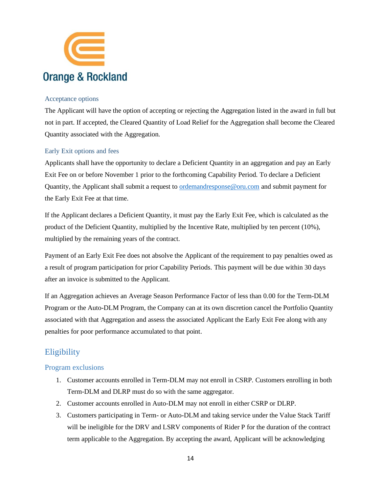

#### <span id="page-13-0"></span>Acceptance options

The Applicant will have the option of accepting or rejecting the Aggregation listed in the award in full but not in part. If accepted, the Cleared Quantity of Load Relief for the Aggregation shall become the Cleared Quantity associated with the Aggregation.

## <span id="page-13-1"></span>Early Exit options and fees

Applicants shall have the opportunity to declare a Deficient Quantity in an aggregation and pay an Early Exit Fee on or before November 1 prior to the forthcoming Capability Period. To declare a Deficient Quantity, the Applicant shall submit a request to [ordemandresponse@oru.com](mailto:demandresponse@coned.com) and submit payment for the Early Exit Fee at that time.

If the Applicant declares a Deficient Quantity, it must pay the Early Exit Fee, which is calculated as the product of the Deficient Quantity, multiplied by the Incentive Rate, multiplied by ten percent (10%), multiplied by the remaining years of the contract.

Payment of an Early Exit Fee does not absolve the Applicant of the requirement to pay penalties owed as a result of program participation for prior Capability Periods. This payment will be due within 30 days after an invoice is submitted to the Applicant.

If an Aggregation achieves an Average Season Performance Factor of less than 0.00 for the Term-DLM Program or the Auto-DLM Program, the Company can at its own discretion cancel the Portfolio Quantity associated with that Aggregation and assess the associated Applicant the Early Exit Fee along with any penalties for poor performance accumulated to that point.

## <span id="page-13-2"></span>**Eligibility**

## <span id="page-13-3"></span>Program exclusions

- 1. Customer accounts enrolled in Term-DLM may not enroll in CSRP. Customers enrolling in both Term-DLM and DLRP must do so with the same aggregator.
- 2. Customer accounts enrolled in Auto-DLM may not enroll in either CSRP or DLRP.
- 3. Customers participating in Term- or Auto-DLM and taking service under the Value Stack Tariff will be ineligible for the DRV and LSRV components of Rider P for the duration of the contract term applicable to the Aggregation. By accepting the award, Applicant will be acknowledging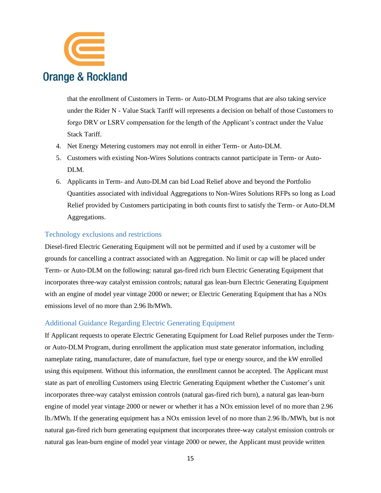

that the enrollment of Customers in Term- or Auto-DLM Programs that are also taking service under the Rider N - Value Stack Tariff will represents a decision on behalf of those Customers to forgo DRV or LSRV compensation for the length of the Applicant's contract under the Value Stack Tariff.

- 4. Net Energy Metering customers may not enroll in either Term- or Auto-DLM.
- 5. Customers with existing Non-Wires Solutions contracts cannot participate in Term- or Auto-DLM.
- 6. Applicants in Term- and Auto-DLM can bid Load Relief above and beyond the Portfolio Quantities associated with individual Aggregations to Non-Wires Solutions RFPs so long as Load Relief provided by Customers participating in both counts first to satisfy the Term- or Auto-DLM Aggregations.

#### <span id="page-14-0"></span>Technology exclusions and restrictions

Diesel-fired Electric Generating Equipment will not be permitted and if used by a customer will be grounds for cancelling a contract associated with an Aggregation. No limit or cap will be placed under Term- or Auto-DLM on the following: natural gas-fired rich burn Electric Generating Equipment that incorporates three-way catalyst emission controls; natural gas lean-burn Electric Generating Equipment with an engine of model year vintage 2000 or newer; or Electric Generating Equipment that has a NOx emissions level of no more than 2.96 lb/MWh.

#### <span id="page-14-1"></span>Additional Guidance Regarding Electric Generating Equipment

If Applicant requests to operate Electric Generating Equipment for Load Relief purposes under the Termor Auto-DLM Program, during enrollment the application must state generator information, including nameplate rating, manufacturer, date of manufacture, fuel type or energy source, and the kW enrolled using this equipment. Without this information, the enrollment cannot be accepted. The Applicant must state as part of enrolling Customers using Electric Generating Equipment whether the Customer's unit incorporates three-way catalyst emission controls (natural gas-fired rich burn), a natural gas lean-burn engine of model year vintage 2000 or newer or whether it has a NOx emission level of no more than 2.96 lb./MWh. If the generating equipment has a NOx emission level of no more than 2.96 lb./MWh, but is not natural gas-fired rich burn generating equipment that incorporates three-way catalyst emission controls or natural gas lean-burn engine of model year vintage 2000 or newer, the Applicant must provide written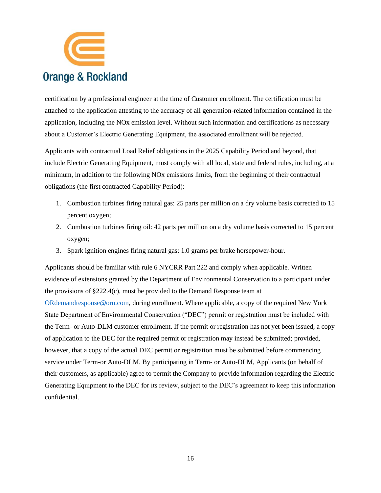

certification by a professional engineer at the time of Customer enrollment. The certification must be attached to the application attesting to the accuracy of all generation-related information contained in the application, including the NOx emission level. Without such information and certifications as necessary about a Customer's Electric Generating Equipment, the associated enrollment will be rejected.

Applicants with contractual Load Relief obligations in the 2025 Capability Period and beyond, that include Electric Generating Equipment, must comply with all local, state and federal rules, including, at a minimum, in addition to the following NOx emissions limits, from the beginning of their contractual obligations (the first contracted Capability Period):

- 1. Combustion turbines firing natural gas: 25 parts per million on a dry volume basis corrected to 15 percent oxygen;
- 2. Combustion turbines firing oil: 42 parts per million on a dry volume basis corrected to 15 percent oxygen;
- 3. Spark ignition engines firing natural gas: 1.0 grams per brake horsepower-hour.

Applicants should be familiar with rule 6 NYCRR Part 222 and comply when applicable. Written evidence of extensions granted by the Department of Environmental Conservation to a participant under the provisions of §222.4(c), must be provided to the Demand Response team at [ORdemandresponse@oru.com,](mailto:ORdemandresponse@oru.com) during enrollment. Where applicable, a copy of the required New York State Department of Environmental Conservation ("DEC") permit or registration must be included with the Term- or Auto-DLM customer enrollment. If the permit or registration has not yet been issued, a copy of application to the DEC for the required permit or registration may instead be submitted; provided, however, that a copy of the actual DEC permit or registration must be submitted before commencing service under Term-or Auto-DLM. By participating in Term- or Auto-DLM, Applicants (on behalf of their customers, as applicable) agree to permit the Company to provide information regarding the Electric Generating Equipment to the DEC for its review, subject to the DEC's agreement to keep this information confidential.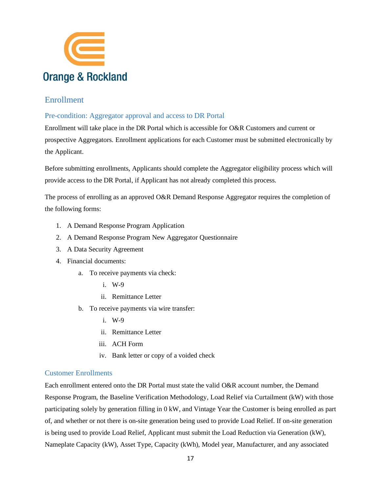

## <span id="page-16-0"></span>Enrollment

## <span id="page-16-1"></span>Pre-condition: Aggregator approval and access to DR Portal

Enrollment will take place in the DR Portal which is accessible for O&R Customers and current or prospective Aggregators. Enrollment applications for each Customer must be submitted electronically by the Applicant.

Before submitting enrollments, Applicants should complete the Aggregator eligibility process which will provide access to the DR Portal, if Applicant has not already completed this process.

The process of enrolling as an approved O&R Demand Response Aggregator requires the completion of the following forms:

- 1. A Demand Response Program Application
- 2. A Demand Response Program New Aggregator Questionnaire
- 3. A Data Security Agreement
- 4. Financial documents:
	- a. To receive payments via check:
		- i. W-9
		- ii. Remittance Letter
	- b. To receive payments via wire transfer:
		- i. W-9
		- ii. Remittance Letter
		- iii. ACH Form
		- iv. Bank letter or copy of a voided check

## <span id="page-16-2"></span>Customer Enrollments

Each enrollment entered onto the DR Portal must state the valid O&R account number, the Demand Response Program, the Baseline Verification Methodology, Load Relief via Curtailment (kW) with those participating solely by generation filling in 0 kW, and Vintage Year the Customer is being enrolled as part of, and whether or not there is on-site generation being used to provide Load Relief. If on-site generation is being used to provide Load Relief, Applicant must submit the Load Reduction via Generation (kW), Nameplate Capacity (kW), Asset Type, Capacity (kWh), Model year, Manufacturer, and any associated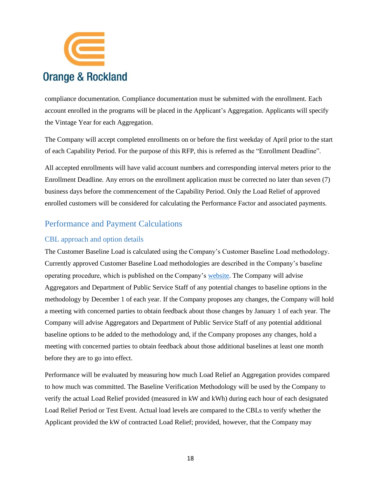

compliance documentation. Compliance documentation must be submitted with the enrollment. Each account enrolled in the programs will be placed in the Applicant's Aggregation. Applicants will specify the Vintage Year for each Aggregation.

The Company will accept completed enrollments on or before the first weekday of April prior to the start of each Capability Period. For the purpose of this RFP, this is referred as the "Enrollment Deadline".

All accepted enrollments will have valid account numbers and corresponding interval meters prior to the Enrollment Deadline. Any errors on the enrollment application must be corrected no later than seven (7) business days before the commencement of the Capability Period. Only the Load Relief of approved enrolled customers will be considered for calculating the Performance Factor and associated payments.

## <span id="page-17-0"></span>Performance and Payment Calculations

#### <span id="page-17-1"></span>CBL approach and option details

The Customer Baseline Load is calculated using the Company's Customer Baseline Load methodology. Currently approved Customer Baseline Load methodologies are described in the Company's baseline operating procedure, which is published on the Company's [website.](https://www.oru.com/-/media/files/oru/documents/saveenergyandmoney/choose-smart-usage-rewards/customerbaselineloadprocedure.pdf?la=en) The Company will advise Aggregators and Department of Public Service Staff of any potential changes to baseline options in the methodology by December 1 of each year. If the Company proposes any changes, the Company will hold a meeting with concerned parties to obtain feedback about those changes by January 1 of each year. The Company will advise Aggregators and Department of Public Service Staff of any potential additional baseline options to be added to the methodology and, if the Company proposes any changes, hold a meeting with concerned parties to obtain feedback about those additional baselines at least one month before they are to go into effect.

Performance will be evaluated by measuring how much Load Relief an Aggregation provides compared to how much was committed. The Baseline Verification Methodology will be used by the Company to verify the actual Load Relief provided (measured in kW and kWh) during each hour of each designated Load Relief Period or Test Event. Actual load levels are compared to the CBLs to verify whether the Applicant provided the kW of contracted Load Relief; provided, however, that the Company may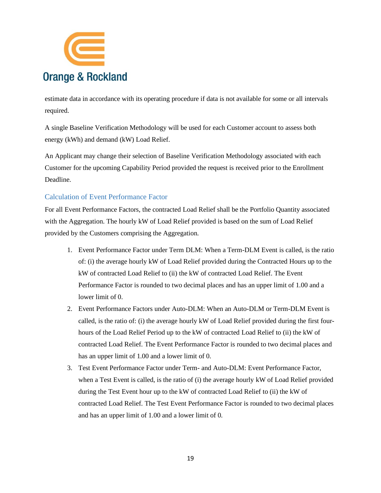

estimate data in accordance with its operating procedure if data is not available for some or all intervals required.

A single Baseline Verification Methodology will be used for each Customer account to assess both energy (kWh) and demand (kW) Load Relief.

An Applicant may change their selection of Baseline Verification Methodology associated with each Customer for the upcoming Capability Period provided the request is received prior to the Enrollment Deadline.

## <span id="page-18-0"></span>Calculation of Event Performance Factor

For all Event Performance Factors, the contracted Load Relief shall be the Portfolio Quantity associated with the Aggregation. The hourly kW of Load Relief provided is based on the sum of Load Relief provided by the Customers comprising the Aggregation.

- 1. Event Performance Factor under Term DLM: When a Term-DLM Event is called, is the ratio of: (i) the average hourly kW of Load Relief provided during the Contracted Hours up to the kW of contracted Load Relief to (ii) the kW of contracted Load Relief. The Event Performance Factor is rounded to two decimal places and has an upper limit of 1.00 and a lower limit of 0.
- 2. Event Performance Factors under Auto-DLM: When an Auto-DLM or Term-DLM Event is called, is the ratio of: (i) the average hourly kW of Load Relief provided during the first fourhours of the Load Relief Period up to the kW of contracted Load Relief to (ii) the kW of contracted Load Relief. The Event Performance Factor is rounded to two decimal places and has an upper limit of 1.00 and a lower limit of 0.
- 3. Test Event Performance Factor under Term- and Auto-DLM: Event Performance Factor, when a Test Event is called, is the ratio of (i) the average hourly kW of Load Relief provided during the Test Event hour up to the kW of contracted Load Relief to (ii) the kW of contracted Load Relief. The Test Event Performance Factor is rounded to two decimal places and has an upper limit of 1.00 and a lower limit of 0.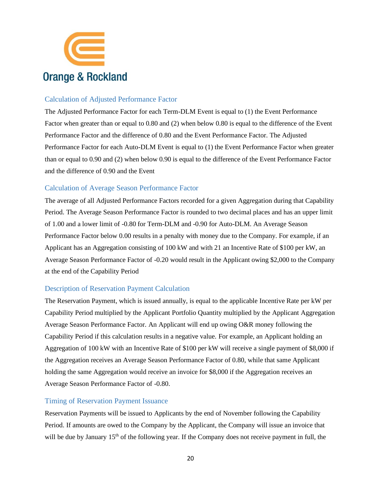

## <span id="page-19-0"></span>Calculation of Adjusted Performance Factor

The Adjusted Performance Factor for each Term-DLM Event is equal to (1) the Event Performance Factor when greater than or equal to 0.80 and (2) when below 0.80 is equal to the difference of the Event Performance Factor and the difference of 0.80 and the Event Performance Factor. The Adjusted Performance Factor for each Auto-DLM Event is equal to (1) the Event Performance Factor when greater than or equal to 0.90 and (2) when below 0.90 is equal to the difference of the Event Performance Factor and the difference of 0.90 and the Event

## <span id="page-19-1"></span>Calculation of Average Season Performance Factor

The average of all Adjusted Performance Factors recorded for a given Aggregation during that Capability Period. The Average Season Performance Factor is rounded to two decimal places and has an upper limit of 1.00 and a lower limit of -0.80 for Term-DLM and -0.90 for Auto-DLM. An Average Season Performance Factor below 0.00 results in a penalty with money due to the Company. For example, if an Applicant has an Aggregation consisting of 100 kW and with 21 an Incentive Rate of \$100 per kW, an Average Season Performance Factor of -0.20 would result in the Applicant owing \$2,000 to the Company at the end of the Capability Period

## <span id="page-19-2"></span>Description of Reservation Payment Calculation

The Reservation Payment, which is issued annually, is equal to the applicable Incentive Rate per kW per Capability Period multiplied by the Applicant Portfolio Quantity multiplied by the Applicant Aggregation Average Season Performance Factor. An Applicant will end up owing O&R money following the Capability Period if this calculation results in a negative value. For example, an Applicant holding an Aggregation of 100 kW with an Incentive Rate of \$100 per kW will receive a single payment of \$8,000 if the Aggregation receives an Average Season Performance Factor of 0.80, while that same Applicant holding the same Aggregation would receive an invoice for \$8,000 if the Aggregation receives an Average Season Performance Factor of -0.80.

#### <span id="page-19-3"></span>Timing of Reservation Payment Issuance

Reservation Payments will be issued to Applicants by the end of November following the Capability Period. If amounts are owed to the Company by the Applicant, the Company will issue an invoice that will be due by January 15<sup>th</sup> of the following year. If the Company does not receive payment in full, the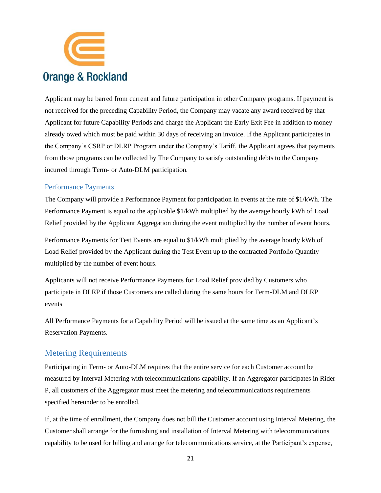

Applicant may be barred from current and future participation in other Company programs. If payment is not received for the preceding Capability Period, the Company may vacate any award received by that Applicant for future Capability Periods and charge the Applicant the Early Exit Fee in addition to money already owed which must be paid within 30 days of receiving an invoice. If the Applicant participates in the Company's CSRP or DLRP Program under the Company's Tariff, the Applicant agrees that payments from those programs can be collected by The Company to satisfy outstanding debts to the Company incurred through Term- or Auto-DLM participation.

#### <span id="page-20-0"></span>Performance Payments

The Company will provide a Performance Payment for participation in events at the rate of \$1/kWh. The Performance Payment is equal to the applicable \$1/kWh multiplied by the average hourly kWh of Load Relief provided by the Applicant Aggregation during the event multiplied by the number of event hours.

Performance Payments for Test Events are equal to \$1/kWh multiplied by the average hourly kWh of Load Relief provided by the Applicant during the Test Event up to the contracted Portfolio Quantity multiplied by the number of event hours.

Applicants will not receive Performance Payments for Load Relief provided by Customers who participate in DLRP if those Customers are called during the same hours for Term-DLM and DLRP events

All Performance Payments for a Capability Period will be issued at the same time as an Applicant's Reservation Payments.

## <span id="page-20-1"></span>Metering Requirements

Participating in Term- or Auto-DLM requires that the entire service for each Customer account be measured by Interval Metering with telecommunications capability. If an Aggregator participates in Rider P, all customers of the Aggregator must meet the metering and telecommunications requirements specified hereunder to be enrolled.

If, at the time of enrollment, the Company does not bill the Customer account using Interval Metering, the Customer shall arrange for the furnishing and installation of Interval Metering with telecommunications capability to be used for billing and arrange for telecommunications service, at the Participant's expense,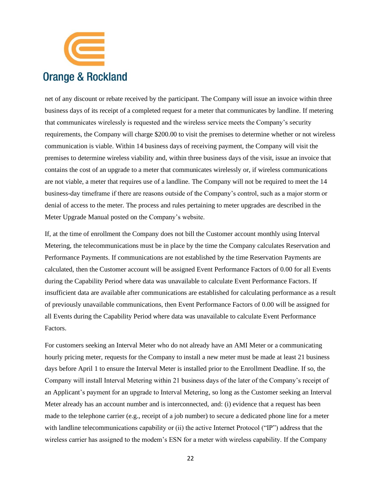

net of any discount or rebate received by the participant. The Company will issue an invoice within three business days of its receipt of a completed request for a meter that communicates by landline. If metering that communicates wirelessly is requested and the wireless service meets the Company's security requirements, the Company will charge \$200.00 to visit the premises to determine whether or not wireless communication is viable. Within 14 business days of receiving payment, the Company will visit the premises to determine wireless viability and, within three business days of the visit, issue an invoice that contains the cost of an upgrade to a meter that communicates wirelessly or, if wireless communications are not viable, a meter that requires use of a landline. The Company will not be required to meet the 14 business-day timeframe if there are reasons outside of the Company's control, such as a major storm or denial of access to the meter. The process and rules pertaining to meter upgrades are described in the Meter Upgrade Manual posted on the Company's website.

If, at the time of enrollment the Company does not bill the Customer account monthly using Interval Metering, the telecommunications must be in place by the time the Company calculates Reservation and Performance Payments. If communications are not established by the time Reservation Payments are calculated, then the Customer account will be assigned Event Performance Factors of 0.00 for all Events during the Capability Period where data was unavailable to calculate Event Performance Factors. If insufficient data are available after communications are established for calculating performance as a result of previously unavailable communications, then Event Performance Factors of 0.00 will be assigned for all Events during the Capability Period where data was unavailable to calculate Event Performance Factors.

For customers seeking an Interval Meter who do not already have an AMI Meter or a communicating hourly pricing meter, requests for the Company to install a new meter must be made at least 21 business days before April 1 to ensure the Interval Meter is installed prior to the Enrollment Deadline. If so, the Company will install Interval Metering within 21 business days of the later of the Company's receipt of an Applicant's payment for an upgrade to Interval Metering, so long as the Customer seeking an Interval Meter already has an account number and is interconnected, and: (i) evidence that a request has been made to the telephone carrier (e.g., receipt of a job number) to secure a dedicated phone line for a meter with landline telecommunications capability or (ii) the active Internet Protocol ("IP") address that the wireless carrier has assigned to the modem's ESN for a meter with wireless capability. If the Company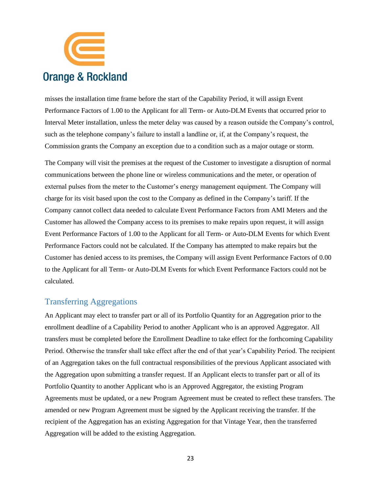

misses the installation time frame before the start of the Capability Period, it will assign Event Performance Factors of 1.00 to the Applicant for all Term- or Auto-DLM Events that occurred prior to Interval Meter installation, unless the meter delay was caused by a reason outside the Company's control, such as the telephone company's failure to install a landline or, if, at the Company's request, the Commission grants the Company an exception due to a condition such as a major outage or storm.

The Company will visit the premises at the request of the Customer to investigate a disruption of normal communications between the phone line or wireless communications and the meter, or operation of external pulses from the meter to the Customer's energy management equipment. The Company will charge for its visit based upon the cost to the Company as defined in the Company's tariff. If the Company cannot collect data needed to calculate Event Performance Factors from AMI Meters and the Customer has allowed the Company access to its premises to make repairs upon request, it will assign Event Performance Factors of 1.00 to the Applicant for all Term- or Auto-DLM Events for which Event Performance Factors could not be calculated. If the Company has attempted to make repairs but the Customer has denied access to its premises, the Company will assign Event Performance Factors of 0.00 to the Applicant for all Term- or Auto-DLM Events for which Event Performance Factors could not be calculated.

## <span id="page-22-0"></span>Transferring Aggregations

An Applicant may elect to transfer part or all of its Portfolio Quantity for an Aggregation prior to the enrollment deadline of a Capability Period to another Applicant who is an approved Aggregator. All transfers must be completed before the Enrollment Deadline to take effect for the forthcoming Capability Period. Otherwise the transfer shall take effect after the end of that year's Capability Period. The recipient of an Aggregation takes on the full contractual responsibilities of the previous Applicant associated with the Aggregation upon submitting a transfer request. If an Applicant elects to transfer part or all of its Portfolio Quantity to another Applicant who is an Approved Aggregator, the existing Program Agreements must be updated, or a new Program Agreement must be created to reflect these transfers. The amended or new Program Agreement must be signed by the Applicant receiving the transfer. If the recipient of the Aggregation has an existing Aggregation for that Vintage Year, then the transferred Aggregation will be added to the existing Aggregation.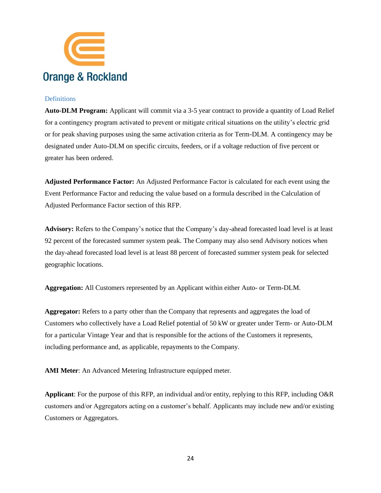

#### <span id="page-23-0"></span>**Definitions**

**Auto-DLM Program:** Applicant will commit via a 3-5 year contract to provide a quantity of Load Relief for a contingency program activated to prevent or mitigate critical situations on the utility's electric grid or for peak shaving purposes using the same activation criteria as for Term-DLM. A contingency may be designated under Auto-DLM on specific circuits, feeders, or if a voltage reduction of five percent or greater has been ordered.

**Adjusted Performance Factor:** An Adjusted Performance Factor is calculated for each event using the Event Performance Factor and reducing the value based on a formula described in the Calculation of Adjusted Performance Factor section of this RFP.

**Advisory:** Refers to the Company's notice that the Company's day-ahead forecasted load level is at least 92 percent of the forecasted summer system peak. The Company may also send Advisory notices when the day-ahead forecasted load level is at least 88 percent of forecasted summer system peak for selected geographic locations.

**Aggregation:** All Customers represented by an Applicant within either Auto- or Term-DLM.

**Aggregator:** Refers to a party other than the Company that represents and aggregates the load of Customers who collectively have a Load Relief potential of 50 kW or greater under Term- or Auto-DLM for a particular Vintage Year and that is responsible for the actions of the Customers it represents, including performance and, as applicable, repayments to the Company.

**AMI Meter**: An Advanced Metering Infrastructure equipped meter.

**Applicant**: For the purpose of this RFP, an individual and/or entity, replying to this RFP, including O&R customers and/or Aggregators acting on a customer's behalf. Applicants may include new and/or existing Customers or Aggregators.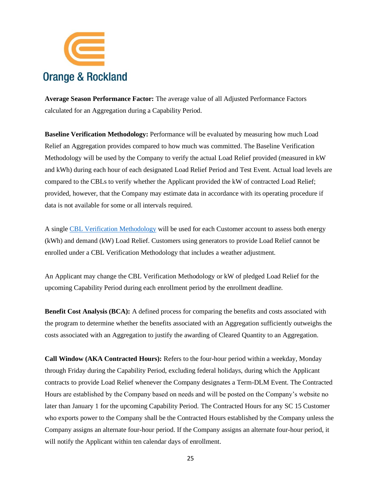

**Average Season Performance Factor:** The average value of all Adjusted Performance Factors calculated for an Aggregation during a Capability Period.

**Baseline Verification Methodology:** Performance will be evaluated by measuring how much Load Relief an Aggregation provides compared to how much was committed. The Baseline Verification Methodology will be used by the Company to verify the actual Load Relief provided (measured in kW and kWh) during each hour of each designated Load Relief Period and Test Event. Actual load levels are compared to the CBLs to verify whether the Applicant provided the kW of contracted Load Relief; provided, however, that the Company may estimate data in accordance with its operating procedure if data is not available for some or all intervals required.

A singl[e CBL Verification Methodology](https://www.oru.com/-/media/files/oru/documents/saveenergyandmoney/choose-smart-usage-rewards/customerbaselineloadprocedure.pdf?la=en) will be used for each Customer account to assess both energy (kWh) and demand (kW) Load Relief. Customers using generators to provide Load Relief cannot be enrolled under a CBL Verification Methodology that includes a weather adjustment.

An Applicant may change the CBL Verification Methodology or kW of pledged Load Relief for the upcoming Capability Period during each enrollment period by the enrollment deadline.

**Benefit Cost Analysis (BCA):** A defined process for comparing the benefits and costs associated with the program to determine whether the benefits associated with an Aggregation sufficiently outweighs the costs associated with an Aggregation to justify the awarding of Cleared Quantity to an Aggregation.

**Call Window (AKA Contracted Hours):** Refers to the four-hour period within a weekday, Monday through Friday during the Capability Period, excluding federal holidays, during which the Applicant contracts to provide Load Relief whenever the Company designates a Term-DLM Event. The Contracted Hours are established by the Company based on needs and will be posted on the Company's website no later than January 1 for the upcoming Capability Period. The Contracted Hours for any SC 15 Customer who exports power to the Company shall be the Contracted Hours established by the Company unless the Company assigns an alternate four-hour period. If the Company assigns an alternate four-hour period, it will notify the Applicant within ten calendar days of enrollment.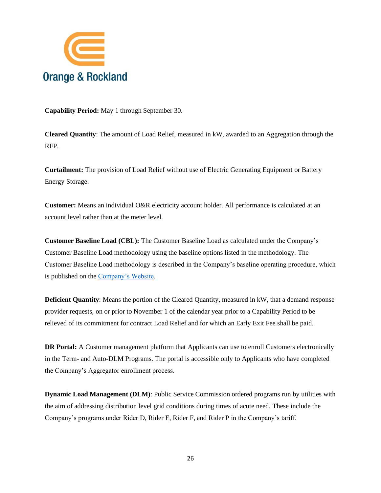

**Capability Period:** May 1 through September 30.

**Cleared Quantity**: The amount of Load Relief, measured in kW, awarded to an Aggregation through the RFP.

**Curtailment:** The provision of Load Relief without use of Electric Generating Equipment or Battery Energy Storage.

**Customer:** Means an individual O&R electricity account holder. All performance is calculated at an account level rather than at the meter level.

**Customer Baseline Load (CBL):** The Customer Baseline Load as calculated under the Company's Customer Baseline Load methodology using the baseline options listed in the methodology. The Customer Baseline Load methodology is described in the Company's baseline operating procedure, which is published on th[e Company's Website.](https://www.oru.com/-/media/files/oru/documents/saveenergyandmoney/choose-smart-usage-rewards/customerbaselineloadprocedure.pdf?la=en)

**Deficient Quantity**: Means the portion of the Cleared Quantity, measured in kW, that a demand response provider requests, on or prior to November 1 of the calendar year prior to a Capability Period to be relieved of its commitment for contract Load Relief and for which an Early Exit Fee shall be paid.

**DR Portal:** A Customer management platform that Applicants can use to enroll Customers electronically in the Term- and Auto-DLM Programs. The portal is accessible only to Applicants who have completed the Company's Aggregator enrollment process.

**Dynamic Load Management (DLM)**: Public Service Commission ordered programs run by utilities with the aim of addressing distribution level grid conditions during times of acute need. These include the Company's programs under Rider D, Rider E, Rider F, and Rider P in the Company's tariff.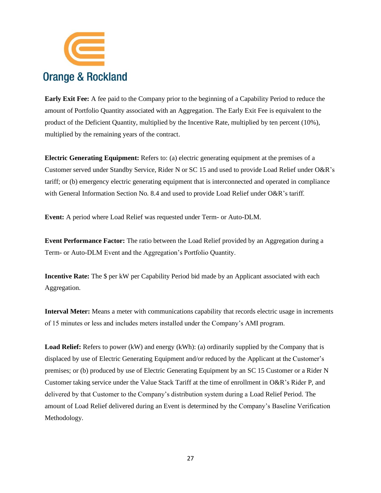

**Early Exit Fee:** A fee paid to the Company prior to the beginning of a Capability Period to reduce the amount of Portfolio Quantity associated with an Aggregation. The Early Exit Fee is equivalent to the product of the Deficient Quantity, multiplied by the Incentive Rate, multiplied by ten percent (10%), multiplied by the remaining years of the contract.

**Electric Generating Equipment:** Refers to: (a) electric generating equipment at the premises of a Customer served under Standby Service, Rider N or SC 15 and used to provide Load Relief under O&R's tariff; or (b) emergency electric generating equipment that is interconnected and operated in compliance with General Information Section No. 8.4 and used to provide Load Relief under O&R's tariff.

**Event:** A period where Load Relief was requested under Term- or Auto-DLM.

**Event Performance Factor:** The ratio between the Load Relief provided by an Aggregation during a Term- or Auto-DLM Event and the Aggregation's Portfolio Quantity.

**Incentive Rate:** The \$ per kW per Capability Period bid made by an Applicant associated with each Aggregation.

**Interval Meter:** Means a meter with communications capability that records electric usage in increments of 15 minutes or less and includes meters installed under the Company's AMI program.

**Load Relief:** Refers to power (kW) and energy (kWh): (a) ordinarily supplied by the Company that is displaced by use of Electric Generating Equipment and/or reduced by the Applicant at the Customer's premises; or (b) produced by use of Electric Generating Equipment by an SC 15 Customer or a Rider N Customer taking service under the Value Stack Tariff at the time of enrollment in O&R's Rider P, and delivered by that Customer to the Company's distribution system during a Load Relief Period. The amount of Load Relief delivered during an Event is determined by the Company's Baseline Verification Methodology.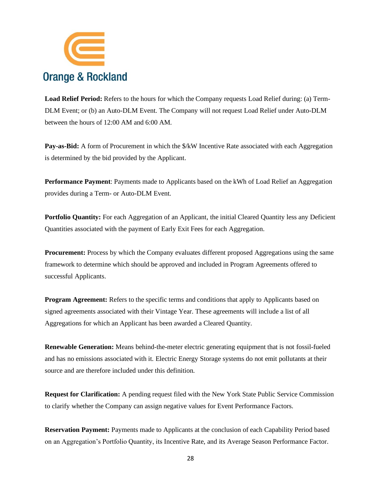

**Load Relief Period:** Refers to the hours for which the Company requests Load Relief during: (a) Term-DLM Event; or (b) an Auto-DLM Event. The Company will not request Load Relief under Auto-DLM between the hours of 12:00 AM and 6:00 AM.

**Pay-as-Bid:** A form of Procurement in which the  $\frac{R}{W}$  Incentive Rate associated with each Aggregation is determined by the bid provided by the Applicant.

**Performance Payment**: Payments made to Applicants based on the kWh of Load Relief an Aggregation provides during a Term- or Auto-DLM Event.

**Portfolio Quantity:** For each Aggregation of an Applicant, the initial Cleared Quantity less any Deficient Quantities associated with the payment of Early Exit Fees for each Aggregation.

**Procurement:** Process by which the Company evaluates different proposed Aggregations using the same framework to determine which should be approved and included in Program Agreements offered to successful Applicants.

**Program Agreement:** Refers to the specific terms and conditions that apply to Applicants based on signed agreements associated with their Vintage Year. These agreements will include a list of all Aggregations for which an Applicant has been awarded a Cleared Quantity.

**Renewable Generation:** Means behind-the-meter electric generating equipment that is not fossil-fueled and has no emissions associated with it. Electric Energy Storage systems do not emit pollutants at their source and are therefore included under this definition.

**Request for Clarification:** A pending request filed with the New York State Public Service Commission to clarify whether the Company can assign negative values for Event Performance Factors.

**Reservation Payment:** Payments made to Applicants at the conclusion of each Capability Period based on an Aggregation's Portfolio Quantity, its Incentive Rate, and its Average Season Performance Factor.